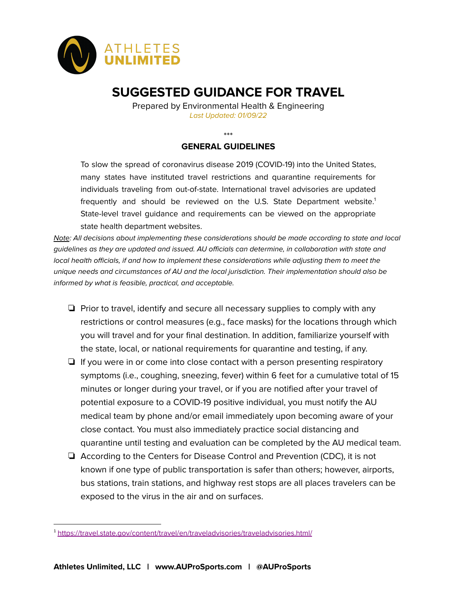

# **SUGGESTED GUIDANCE FOR TRAVEL**

Prepared by Environmental Health & Engineering Last Updated: 01/09/22

\*\*\*

## **GENERAL GUIDELINES**

To slow the spread of coronavirus disease 2019 (COVID-19) into the United States, many states have instituted travel restrictions and quarantine requirements for individuals traveling from out-of-state. International travel advisories are updated frequently and should be reviewed on the U.S. State Department website. 1 State-level travel guidance and requirements can be viewed on the appropriate state health department websites.

Note: All decisions about implementing these considerations should be made according to state and local guidelines as they are updated and issued. AU officials can determine, in collaboration with state and local health officials, if and how to implement these considerations while adjusting them to meet the unique needs and circumstances of AU and the local jurisdiction. Their implementation should also be informed by what is feasible, practical, and acceptable.

- ❏ Prior to travel, identify and secure all necessary supplies to comply with any restrictions or control measures (e.g., face masks) for the locations through which you will travel and for your final destination. In addition, familiarize yourself with the state, local, or national requirements for quarantine and testing, if any.
- ❏ If you were in or come into close contact with a person presenting respiratory symptoms (i.e., coughing, sneezing, fever) within 6 feet for a cumulative total of 15 minutes or longer during your travel, or if you are notified after your travel of potential exposure to a COVID-19 positive individual, you must notify the AU medical team by phone and/or email immediately upon becoming aware of your close contact. You must also immediately practice social distancing and quarantine until testing and evaluation can be completed by the AU medical team.
- ❏ According to the Centers for Disease Control and Prevention (CDC), it is not known if one type of public transportation is safer than others; however, airports, bus stations, train stations, and highway rest stops are all places travelers can be exposed to the virus in the air and on surfaces.

<sup>&</sup>lt;sup>1</sup> <https://travel.state.gov/content/travel/en/traveladvisories/traveladvisories.html/>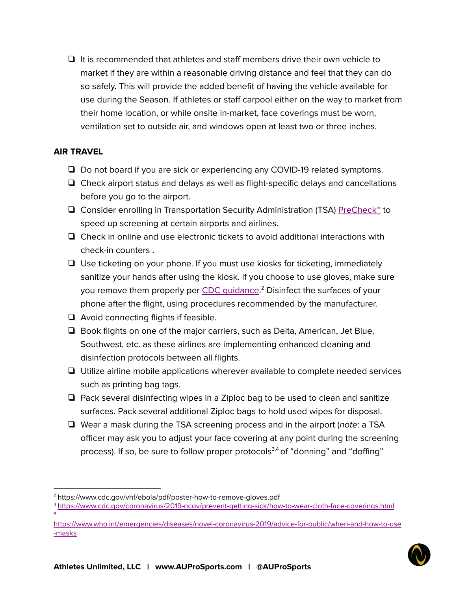❏ It is recommended that athletes and staff members drive their own vehicle to market if they are within a reasonable driving distance and feel that they can do so safely. This will provide the added benefit of having the vehicle available for use during the Season. If athletes or staff carpool either on the way to market from their home location, or while onsite in-market, face coverings must be worn, ventilation set to outside air, and windows open at least two or three inches.

# **AIR TRAVEL**

4

- ❏ Do not board if you are sick or experiencing any COVID-19 related symptoms.
- ❏ Check airport status and delays as well as flight-specific delays and cancellations before you go to the airport.
- ❏ Consider enrolling in Transportation Security Administration (TSA) [PreCheck™](https://www.tsa.gov/precheck) to speed up screening at certain airports and airlines.
- ❏ Check in online and use electronic tickets to avoid additional interactions with check-in counters .
- ❏ Use ticketing on your phone. If you must use kiosks for ticketing, immediately sanitize your hands after using the kiosk. If you choose to use gloves, make sure you remove them properly per CDC [guidance](https://www.cdc.gov/vhf/ebola/pdf/poster-how-to-remove-gloves.pdf).<sup>2</sup> Disinfect the surfaces of your phone after the flight, using procedures recommended by the manufacturer.
- ❏ Avoid connecting flights if feasible.
- ❏ Book flights on one of the major carriers, such as Delta, American, Jet Blue, Southwest, etc. as these airlines are implementing enhanced cleaning and disinfection protocols between all flights.
- ❏ Utilize airline mobile applications wherever available to complete needed services such as printing bag tags.
- ❏ Pack several disinfecting wipes in a Ziploc bag to be used to clean and sanitize surfaces. Pack several additional Ziploc bags to hold used wipes for disposal.
- ❏ Wear a mask during the TSA screening process and in the airport (note: a TSA officer may ask you to adjust your face covering at any point during the screening process). If so, be sure to follow proper protocols<sup>3,4</sup> of "donning" and "doffing"

[https://www.who.int/emergencies/diseases/novel-coronavirus-2019/advice-for-public/when-and-how-to-use](https://www.who.int/emergencies/diseases/novel-coronavirus-2019/advice-for-public/when-and-how-to-use-masks) [-masks](https://www.who.int/emergencies/diseases/novel-coronavirus-2019/advice-for-public/when-and-how-to-use-masks)



<sup>&</sup>lt;sup>2</sup> https://www.cdc.gov/vhf/ebola/pdf/poster-how-to-remove-gloves.pdf

<sup>3</sup> <https://www.cdc.gov/coronavirus/2019-ncov/prevent-getting-sick/how-to-wear-cloth-face-coverings.html>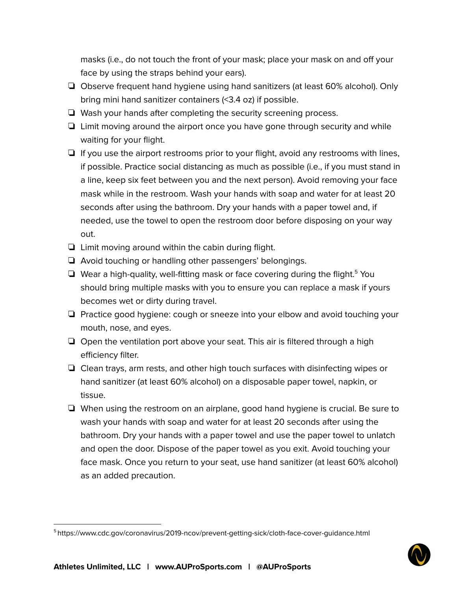masks (i.e., do not touch the front of your mask; place your mask on and off your face by using the straps behind your ears).

- ❏ Observe frequent hand hygiene using hand sanitizers (at least 60% alcohol). Only bring mini hand sanitizer containers (<3.4 oz) if possible.
- ❏ Wash your hands after completing the security screening process.
- ❏ Limit moving around the airport once you have gone through security and while waiting for your flight.
- ❏ If you use the airport restrooms prior to your flight, avoid any restrooms with lines, if possible. Practice social distancing as much as possible (i.e., if you must stand in a line, keep six feet between you and the next person). Avoid removing your face mask while in the restroom. Wash your hands with soap and water for at least 20 seconds after using the bathroom. Dry your hands with a paper towel and, if needed, use the towel to open the restroom door before disposing on your way out.
- ❏ Limit moving around within the cabin during flight.
- ❏ Avoid touching or handling other passengers' belongings.
- □ Wear a high-quality, well-fitting mask or face covering during the flight.<sup>5</sup> You should bring multiple masks with you to ensure you can replace a mask if yours becomes wet or dirty during travel.
- ❏ Practice good hygiene: cough or sneeze into your elbow and avoid touching your mouth, nose, and eyes.
- ❏ Open the ventilation port above your seat. This air is filtered through a high efficiency filter.
- ❏ Clean trays, arm rests, and other high touch surfaces with disinfecting wipes or hand sanitizer (at least 60% alcohol) on a disposable paper towel, napkin, or tissue.
- ❏ When using the restroom on an airplane, good hand hygiene is crucial. Be sure to wash your hands with soap and water for at least 20 seconds after using the bathroom. Dry your hands with a paper towel and use the paper towel to unlatch and open the door. Dispose of the paper towel as you exit. Avoid touching your face mask. Once you return to your seat, use hand sanitizer (at least 60% alcohol) as an added precaution.

<sup>5</sup> https://www.cdc.gov/coronavirus/2019-ncov/prevent-getting-sick/cloth-face-cover-guidance.html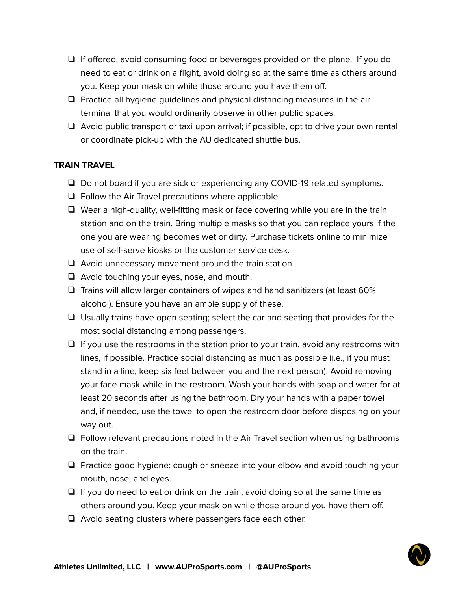- ❏ If offered, avoid consuming food or beverages provided on the plane. If you do need to eat or drink on a flight, avoid doing so at the same time as others around you. Keep your mask on while those around you have them off.
- ❏ Practice all hygiene guidelines and physical distancing measures in the air terminal that you would ordinarily observe in other public spaces.
- ❏ Avoid public transport or taxi upon arrival; if possible, opt to drive your own rental or coordinate pick-up with the AU dedicated shuttle bus.

## **TRAIN TRAVEL**

- ❏ Do not board if you are sick or experiencing any COVID-19 related symptoms.
- ❏ Follow the Air Travel precautions where applicable.
- ❏ Wear a high-quality, well-fitting mask or face covering while you are in the train station and on the train. Bring multiple masks so that you can replace yours if the one you are wearing becomes wet or dirty. Purchase tickets online to minimize use of self-serve kiosks or the customer service desk.
- ❏ Avoid unnecessary movement around the train station
- ❏ Avoid touching your eyes, nose, and mouth.
- ❏ Trains will allow larger containers of wipes and hand sanitizers (at least 60% alcohol). Ensure you have an ample supply of these.
- ❏ Usually trains have open seating; select the car and seating that provides for the most social distancing among passengers.
- ❏ If you use the restrooms in the station prior to your train, avoid any restrooms with lines, if possible. Practice social distancing as much as possible (i.e., if you must stand in a line, keep six feet between you and the next person). Avoid removing your face mask while in the restroom. Wash your hands with soap and water for at least 20 seconds after using the bathroom. Dry your hands with a paper towel and, if needed, use the towel to open the restroom door before disposing on your way out.
- ❏ Follow relevant precautions noted in the Air Travel section when using bathrooms on the train.
- ❏ Practice good hygiene: cough or sneeze into your elbow and avoid touching your mouth, nose, and eyes.
- ❏ If you do need to eat or drink on the train, avoid doing so at the same time as others around you. Keep your mask on while those around you have them off.
- ❏ Avoid seating clusters where passengers face each other.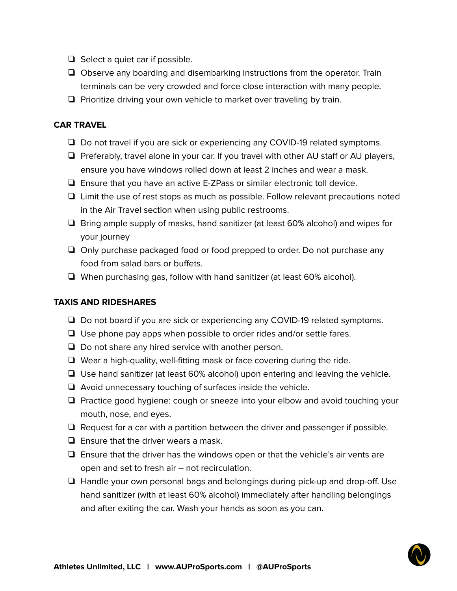- ❏ Select a quiet car if possible.
- ❏ Observe any boarding and disembarking instructions from the operator. Train terminals can be very crowded and force close interaction with many people.
- ❏ Prioritize driving your own vehicle to market over traveling by train.

#### **CAR TRAVEL**

- ❏ Do not travel if you are sick or experiencing any COVID-19 related symptoms.
- ❏ Preferably, travel alone in your car. If you travel with other AU staff or AU players, ensure you have windows rolled down at least 2 inches and wear a mask.
- ❏ Ensure that you have an active E-ZPass or similar electronic toll device.
- ❏ Limit the use of rest stops as much as possible. Follow relevant precautions noted in the Air Travel section when using public restrooms.
- ❏ Bring ample supply of masks, hand sanitizer (at least 60% alcohol) and wipes for your journey
- ❏ Only purchase packaged food or food prepped to order. Do not purchase any food from salad bars or buffets.
- ❏ When purchasing gas, follow with hand sanitizer (at least 60% alcohol).

#### **TAXIS AND RIDESHARES**

- ❏ Do not board if you are sick or experiencing any COVID-19 related symptoms.
- ❏ Use phone pay apps when possible to order rides and/or settle fares.
- ❏ Do not share any hired service with another person.
- ❏ Wear a high-quality, well-fitting mask or face covering during the ride.
- ❏ Use hand sanitizer (at least 60% alcohol) upon entering and leaving the vehicle.
- ❏ Avoid unnecessary touching of surfaces inside the vehicle.
- ❏ Practice good hygiene: cough or sneeze into your elbow and avoid touching your mouth, nose, and eyes.
- ❏ Request for a car with a partition between the driver and passenger if possible.
- ❏ Ensure that the driver wears a mask.
- ❏ Ensure that the driver has the windows open or that the vehicle's air vents are open and set to fresh air – not recirculation.
- ❏ Handle your own personal bags and belongings during pick-up and drop-off. Use hand sanitizer (with at least 60% alcohol) immediately after handling belongings and after exiting the car. Wash your hands as soon as you can.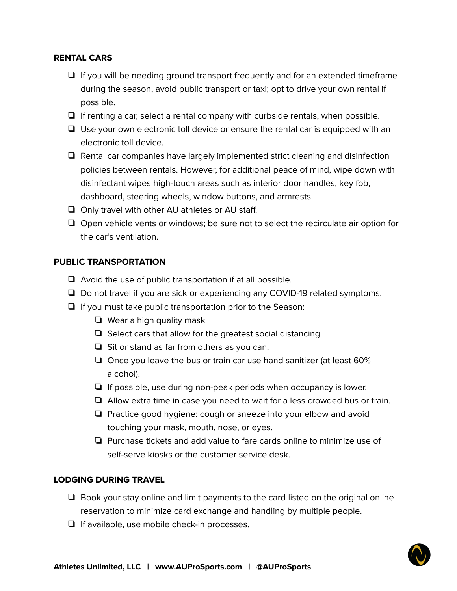#### **RENTAL CARS**

- ❏ If you will be needing ground transport frequently and for an extended timeframe during the season, avoid public transport or taxi; opt to drive your own rental if possible.
- ❏ If renting a car, select a rental company with curbside rentals, when possible.
- ❏ Use your own electronic toll device or ensure the rental car is equipped with an electronic toll device.
- ❏ Rental car companies have largely implemented strict cleaning and disinfection policies between rentals. However, for additional peace of mind, wipe down with disinfectant wipes high-touch areas such as interior door handles, key fob, dashboard, steering wheels, window buttons, and armrests.
- ❏ Only travel with other AU athletes or AU staff.
- ❏ Open vehicle vents or windows; be sure not to select the recirculate air option for the car's ventilation.

#### **PUBLIC TRANSPORTATION**

- ❏ Avoid the use of public transportation if at all possible.
- ❏ Do not travel if you are sick or experiencing any COVID-19 related symptoms.
- ❏ If you must take public transportation prior to the Season:
	- ❏ Wear a high quality mask
	- ❏ Select cars that allow for the greatest social distancing.
	- ❏ Sit or stand as far from others as you can.
	- ❏ Once you leave the bus or train car use hand sanitizer (at least 60% alcohol).
	- ❏ If possible, use during non-peak periods when occupancy is lower.
	- ❏ Allow extra time in case you need to wait for a less crowded bus or train.
	- ❏ Practice good hygiene: cough or sneeze into your elbow and avoid touching your mask, mouth, nose, or eyes.
	- ❏ Purchase tickets and add value to fare cards online to minimize use of self-serve kiosks or the customer service desk.

#### **LODGING DURING TRAVEL**

- ❏ Book your stay online and limit payments to the card listed on the original online reservation to minimize card exchange and handling by multiple people.
- ❏ If available, use mobile check-in processes.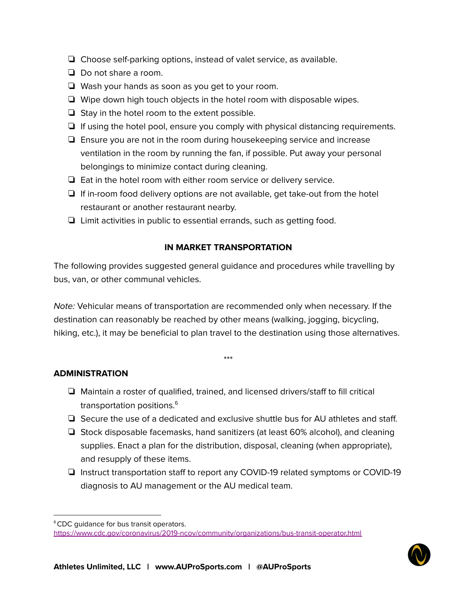- ❏ Choose self-parking options, instead of valet service, as available.
- ❏ Do not share a room.
- ❏ Wash your hands as soon as you get to your room.
- ❏ Wipe down high touch objects in the hotel room with disposable wipes.
- ❏ Stay in the hotel room to the extent possible.
- ❏ If using the hotel pool, ensure you comply with physical distancing requirements.
- ❏ Ensure you are not in the room during housekeeping service and increase ventilation in the room by running the fan, if possible. Put away your personal belongings to minimize contact during cleaning.
- ❏ Eat in the hotel room with either room service or delivery service.
- ❏ If in-room food delivery options are not available, get take-out from the hotel restaurant or another restaurant nearby.
- ❏ Limit activities in public to essential errands, such as getting food.

# **IN MARKET TRANSPORTATION**

The following provides suggested general guidance and procedures while travelling by bus, van, or other communal vehicles.

Note: Vehicular means of transportation are recommended only when necessary. If the destination can reasonably be reached by other means (walking, jogging, bicycling, hiking, etc.), it may be beneficial to plan travel to the destination using those alternatives.

\*\*\*

## **ADMINISTRATION**

- ❏ Maintain a roster of qualified, trained, and licensed drivers/staff to fill critical transportation positions. 6
- ❏ Secure the use of a dedicated and exclusive shuttle bus for AU athletes and staff.
- ❏ Stock disposable facemasks, hand sanitizers (at least 60% alcohol), and cleaning supplies. Enact a plan for the distribution, disposal, cleaning (when appropriate), and resupply of these items.
- ❏ Instruct transportation staff to report any COVID-19 related symptoms or COVID-19 diagnosis to AU management or the AU medical team.

<sup>&</sup>lt;sup>6</sup>CDC quidance for bus transit operators. <https://www.cdc.gov/coronavirus/2019-ncov/community/organizations/bus-transit-operator.html>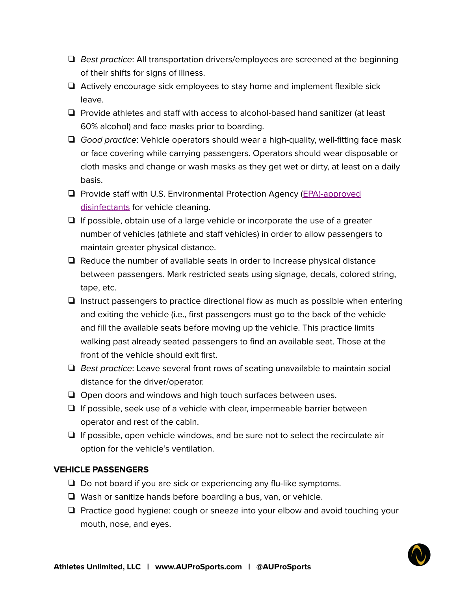- ❏ Best practice: All transportation drivers/employees are screened at the beginning of their shifts for signs of illness.
- ❏ Actively encourage sick employees to stay home and implement flexible sick leave.
- ❏ Provide athletes and staff with access to alcohol-based hand sanitizer (at least 60% alcohol) and face masks prior to boarding.
- ❏ Good practice: Vehicle operators should wear a high-quality, well-fitting face mask or face covering while carrying passengers. Operators should wear disposable or cloth masks and change or wash masks as they get wet or dirty, at least on a daily basis.
- ❏ Provide staff with U.S. Environmental Protection Agency [\(EPA\)-approved](https://www.epa.gov/pesticide-registration/list-n-disinfectants-use-against-sars-cov-2) [disinfectants](https://www.epa.gov/pesticide-registration/list-n-disinfectants-use-against-sars-cov-2) for vehicle cleaning.
- ❏ If possible, obtain use of a large vehicle or incorporate the use of a greater number of vehicles (athlete and staff vehicles) in order to allow passengers to maintain greater physical distance.
- ❏ Reduce the number of available seats in order to increase physical distance between passengers. Mark restricted seats using signage, decals, colored string, tape, etc.
- ❏ Instruct passengers to practice directional flow as much as possible when entering and exiting the vehicle (i.e., first passengers must go to the back of the vehicle and fill the available seats before moving up the vehicle. This practice limits walking past already seated passengers to find an available seat. Those at the front of the vehicle should exit first.
- ❏ Best practice: Leave several front rows of seating unavailable to maintain social distance for the driver/operator.
- ❏ Open doors and windows and high touch surfaces between uses.
- ❏ If possible, seek use of a vehicle with clear, impermeable barrier between operator and rest of the cabin.
- ❏ If possible, open vehicle windows, and be sure not to select the recirculate air option for the vehicle's ventilation.

## **VEHICLE PASSENGERS**

- ❏ Do not board if you are sick or experiencing any flu-like symptoms.
- ❏ Wash or sanitize hands before boarding a bus, van, or vehicle.
- ❏ Practice good hygiene: cough or sneeze into your elbow and avoid touching your mouth, nose, and eyes.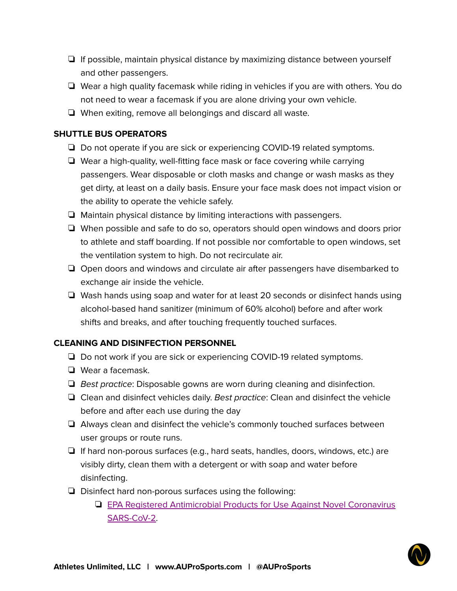- ❏ If possible, maintain physical distance by maximizing distance between yourself and other passengers.
- ❏ Wear a high quality facemask while riding in vehicles if you are with others. You do not need to wear a facemask if you are alone driving your own vehicle.
- ❏ When exiting, remove all belongings and discard all waste.

# **SHUTTLE BUS OPERATORS**

- ❏ Do not operate if you are sick or experiencing COVID-19 related symptoms.
- ❏ Wear a high-quality, well-fitting face mask or face covering while carrying passengers. Wear disposable or cloth masks and change or wash masks as they get dirty, at least on a daily basis. Ensure your face mask does not impact vision or the ability to operate the vehicle safely.
- ❏ Maintain physical distance by limiting interactions with passengers.
- ❏ When possible and safe to do so, operators should open windows and doors prior to athlete and staff boarding. If not possible nor comfortable to open windows, set the ventilation system to high. Do not recirculate air.
- ❏ Open doors and windows and circulate air after passengers have disembarked to exchange air inside the vehicle.
- ❏ Wash hands using soap and water for at least 20 seconds or disinfect hands using alcohol-based hand sanitizer (minimum of 60% alcohol) before and after work shifts and breaks, and after touching frequently touched surfaces.

# **CLEANING AND DISINFECTION PERSONNEL**

- ❏ Do not work if you are sick or experiencing COVID-19 related symptoms.
- ❏ Wear a facemask.
- ❏ Best practice: Disposable gowns are worn during cleaning and disinfection.
- $\Box$  Clean and disinfect vehicles daily. Best practice: Clean and disinfect the vehicle before and after each use during the day
- ❏ Always clean and disinfect the vehicle's commonly touched surfaces between user groups or route runs.
- ❏ If hard non-porous surfaces (e.g., hard seats, handles, doors, windows, etc.) are visibly dirty, clean them with a detergent or with soap and water before disinfecting.
- ❏ Disinfect hard non-porous surfaces using the following:
	- ❏ EPA Registered [Antimicrobial](https://www.epa.gov/pesticide-registration/list-n-disinfectants-use-against-sars-cov-2) Products for Use Against Novel Coronavirus [SARS-CoV-2.](https://www.epa.gov/pesticide-registration/list-n-disinfectants-use-against-sars-cov-2)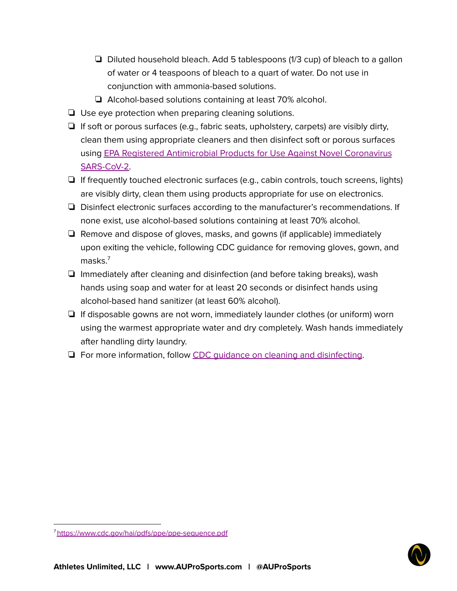- ❏ Diluted household bleach. Add 5 tablespoons (1/3 cup) of bleach to a gallon of water or 4 teaspoons of bleach to a quart of water. Do not use in conjunction with ammonia-based solutions.
- ❏ Alcohol-based solutions containing at least 70% alcohol.
- ❏ Use eye protection when preparing cleaning solutions.
- $\Box$  If soft or porous surfaces (e.g., fabric seats, upholstery, carpets) are visibly dirty, clean them using appropriate cleaners and then disinfect soft or porous surfaces using EPA Registered [Antimicrobial](https://www.epa.gov/pesticide-registration/list-n-disinfectants-use-against-sars-cov-2) Products for Use Against Novel Coronavirus [SARS-CoV-2.](https://www.epa.gov/pesticide-registration/list-n-disinfectants-use-against-sars-cov-2)
- ❏ If frequently touched electronic surfaces (e.g., cabin controls, touch screens, lights) are visibly dirty, clean them using products appropriate for use on electronics.
- ❏ Disinfect electronic surfaces according to the manufacturer's recommendations. If none exist, use alcohol-based solutions containing at least 70% alcohol.
- ❏ Remove and dispose of gloves, masks, and gowns (if applicable) immediately upon exiting the vehicle, following CDC guidance for removing gloves, gown, and masks. 7
- ❏ Immediately after cleaning and disinfection (and before taking breaks), wash hands using soap and water for at least 20 seconds or disinfect hands using alcohol-based hand sanitizer (at least 60% alcohol).
- ❏ If disposable gowns are not worn, immediately launder clothes (or uniform) worn using the warmest appropriate water and dry completely. Wash hands immediately after handling dirty laundry.
- ❏ For more information, follow CDC guidance on cleaning and [disinfecting](https://www.cdc.gov/coronavirus/2019-ncov/community/disinfecting-building-facility.html).



<sup>7</sup><https://www.cdc.gov/hai/pdfs/ppe/ppe-sequence.pdf>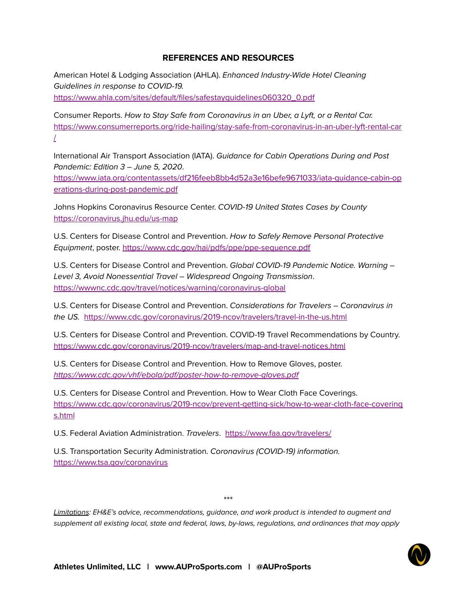## **REFERENCES AND RESOURCES**

American Hotel & Lodging Association (AHLA). Enhanced Industry-Wide Hotel Cleaning Guidelines in response to COVID-19. [https://www.ahla.com/sites/default/files/safestayguidelines060320\\_0.pdf](https://www.ahla.com/sites/default/files/safestayguidelines060320_0.pdf)

Consumer Reports. How to Stay Safe from Coronavirus in an Uber, a Lyft, or a Rental Car. [https://www.consumerreports.org/ride-hailing/stay-safe-from-coronavirus-in-an-uber-lyft-rental-car](https://www.consumerreports.org/ride-hailing/stay-safe-from-coronavirus-in-an-uber-lyft-rental-car/) [/](https://www.consumerreports.org/ride-hailing/stay-safe-from-coronavirus-in-an-uber-lyft-rental-car/)

International Air Transport Association (IATA). Guidance for Cabin Operations During and Post Pandemic: Edition 3 – June 5, 2020.

[https://www.iata.org/contentassets/df216feeb8bb4d52a3e16befe9671033/iata-guidance-cabin-op](https://www.iata.org/contentassets/df216feeb8bb4d52a3e16befe9671033/iata-guidance-cabin-operations-during-post-pandemic.pdf) [erations-during-post-pandemic.pdf](https://www.iata.org/contentassets/df216feeb8bb4d52a3e16befe9671033/iata-guidance-cabin-operations-during-post-pandemic.pdf)

Johns Hopkins Coronavirus Resource Center. COVID-19 United States Cases by County <https://coronavirus.jhu.edu/us-map>

U.S. Centers for Disease Control and Prevention. How to Safely Remove Personal Protective Equipment, poster. <https://www.cdc.gov/hai/pdfs/ppe/ppe-sequence.pdf>

U.S. Centers for Disease Control and Prevention. Global COVID-19 Pandemic Notice. Warning – Level 3, Avoid Nonessential Travel – Widespread Ongoing Transmission. <https://wwwnc.cdc.gov/travel/notices/warning/coronavirus-global>

U.S. Centers for Disease Control and Prevention. Considerations for Travelers – Coronavirus in the US. <https://www.cdc.gov/coronavirus/2019-ncov/travelers/travel-in-the-us.html>

U.S. Centers for Disease Control and Prevention. COVID-19 Travel Recommendations by Country. <https://www.cdc.gov/coronavirus/2019-ncov/travelers/map-and-travel-notices.html>

U.S. Centers for Disease Control and Prevention. How to Remove Gloves, poster. <https://www.cdc.gov/vhf/ebola/pdf/poster-how-to-remove-gloves.pdf>

U.S. Centers for Disease Control and Prevention. How to Wear Cloth Face Coverings[.](https://www.cdc.gov/coronavirus/2019-ncov/prevent-getting-sick/how-to-wear-cloth-face-coverings.html) [https://www.cdc.gov/coronavirus/2019-ncov/prevent-getting-sick/how-to-wear-cloth-face-covering](https://www.cdc.gov/coronavirus/2019-ncov/prevent-getting-sick/how-to-wear-cloth-face-coverings.html) [s.html](https://www.cdc.gov/coronavirus/2019-ncov/prevent-getting-sick/how-to-wear-cloth-face-coverings.html)

U.S. Federal Aviation Administration. Travelers. <https://www.faa.gov/travelers/>

U.S. Transportation Security Administration. Coronavirus (COVID-19) information. <https://www.tsa.gov/coronavirus>

\*\*\*

Limitations: EH&E's advice, recommendations, guidance, and work product is intended to augment and supplement all existing local, state and federal, laws, by-laws, regulations, and ordinances that may apply